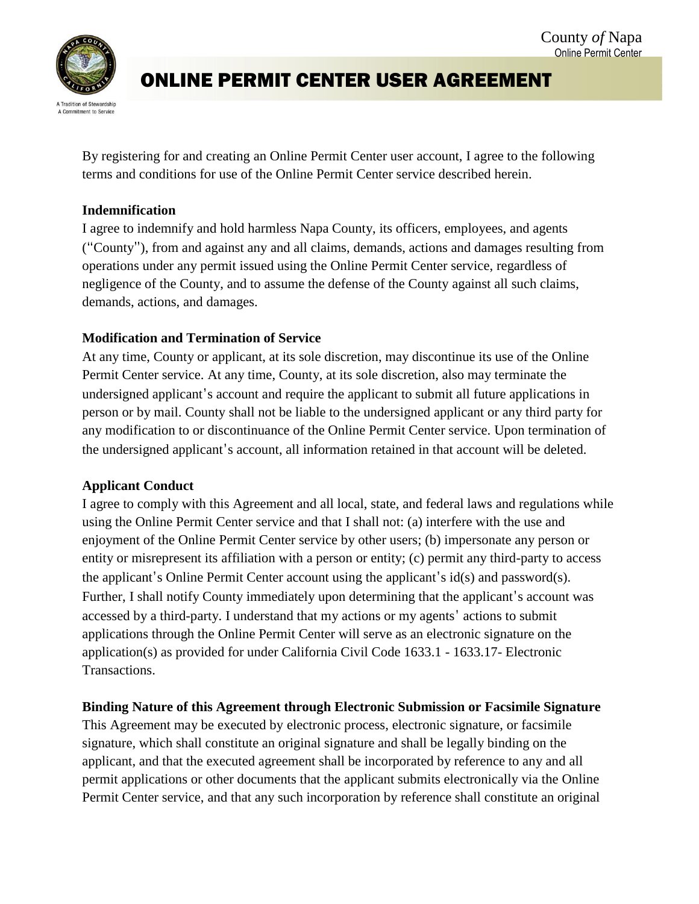

# ONLINE PERMIT CENTER USER AGREEMENT

By registering for and creating an Online Permit Center user account, I agree to the following terms and conditions for use of the Online Permit Center service described herein.

#### **Indemnification**

I agree to indemnify and hold harmless Napa County, its officers, employees, and agents ("County"), from and against any and all claims, demands, actions and damages resulting from operations under any permit issued using the Online Permit Center service, regardless of negligence of the County, and to assume the defense of the County against all such claims, demands, actions, and damages.

## **Modification and Termination of Service**

At any time, County or applicant, at its sole discretion, may discontinue its use of the Online Permit Center service. At any time, County, at its sole discretion, also may terminate the undersigned applicant's account and require the applicant to submit all future applications in person or by mail. County shall not be liable to the undersigned applicant or any third party for any modification to or discontinuance of the Online Permit Center service. Upon termination of the undersigned applicant's account, all information retained in that account will be deleted.

## **Applicant Conduct**

I agree to comply with this Agreement and all local, state, and federal laws and regulations while using the Online Permit Center service and that I shall not: (a) interfere with the use and enjoyment of the Online Permit Center service by other users; (b) impersonate any person or entity or misrepresent its affiliation with a person or entity; (c) permit any third-party to access the applicant's Online Permit Center account using the applicant's id(s) and password(s). Further, I shall notify County immediately upon determining that the applicant's account was accessed by a third-party. I understand that my actions or my agents' actions to submit applications through the Online Permit Center will serve as an electronic signature on the application(s) as provided for under California Civil Code 1633.1 - 1633.17- Electronic Transactions.

## **Binding Nature of this Agreement through Electronic Submission or Facsimile Signature**

This Agreement may be executed by electronic process, electronic signature, or facsimile signature, which shall constitute an original signature and shall be legally binding on the applicant, and that the executed agreement shall be incorporated by reference to any and all permit applications or other documents that the applicant submits electronically via the Online Permit Center service, and that any such incorporation by reference shall constitute an original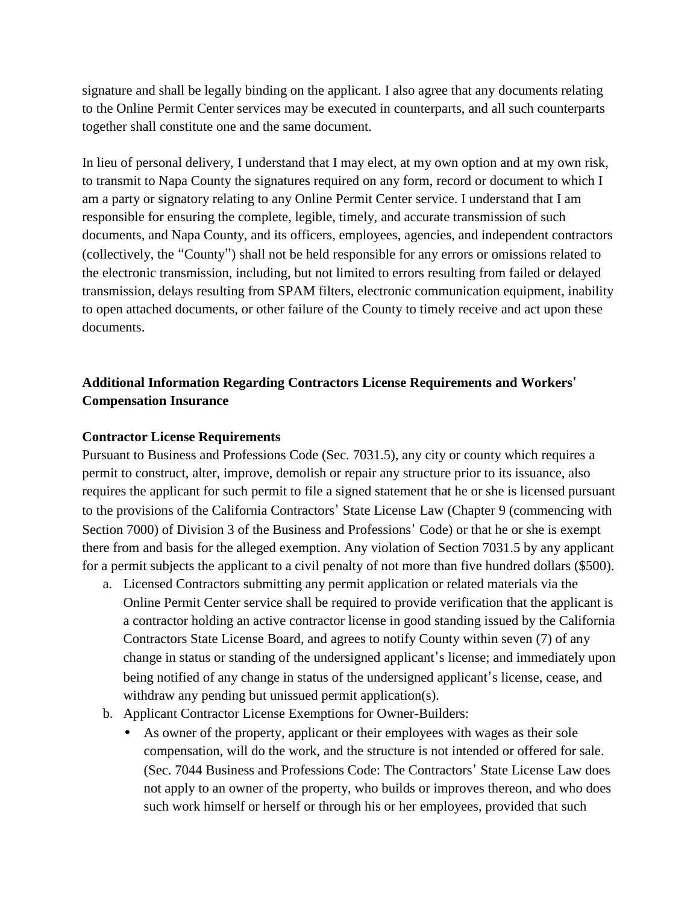signature and shall be legally binding on the applicant. I also agree that any documents relating to the Online Permit Center services may be executed in counterparts, and all such counterparts together shall constitute one and the same document.

In lieu of personal delivery, I understand that I may elect, at my own option and at my own risk, to transmit to Napa County the signatures required on any form, record or document to which I am a party or signatory relating to any Online Permit Center service. I understand that I am responsible for ensuring the complete, legible, timely, and accurate transmission of such documents, and Napa County, and its officers, employees, agencies, and independent contractors (collectively, the "County") shall not be held responsible for any errors or omissions related to the electronic transmission, including, but not limited to errors resulting from failed or delayed transmission, delays resulting from SPAM filters, electronic communication equipment, inability to open attached documents, or other failure of the County to timely receive and act upon these documents.

## **Additional Information Regarding Contractors License Requirements and Workers' Compensation Insurance**

#### **Contractor License Requirements**

Pursuant to Business and Professions Code (Sec. 7031.5), any city or county which requires a permit to construct, alter, improve, demolish or repair any structure prior to its issuance, also requires the applicant for such permit to file a signed statement that he or she is licensed pursuant to the provisions of the California Contractors' State License Law (Chapter 9 (commencing with Section 7000) of Division 3 of the Business and Professions' Code) or that he or she is exempt there from and basis for the alleged exemption. Any violation of Section 7031.5 by any applicant for a permit subjects the applicant to a civil penalty of not more than five hundred dollars (\$500).

- a. Licensed Contractors submitting any permit application or related materials via the Online Permit Center service shall be required to provide verification that the applicant is a contractor holding an active contractor license in good standing issued by the California Contractors State License Board, and agrees to notify County within seven (7) of any change in status or standing of the undersigned applicant's license; and immediately upon being notified of any change in status of the undersigned applicant's license, cease, and withdraw any pending but unissued permit application(s).
- b. Applicant Contractor License Exemptions for Owner-Builders:
	- As owner of the property, applicant or their employees with wages as their sole compensation, will do the work, and the structure is not intended or offered for sale. (Sec. 7044 Business and Professions Code: The Contractors' State License Law does not apply to an owner of the property, who builds or improves thereon, and who does such work himself or herself or through his or her employees, provided that such